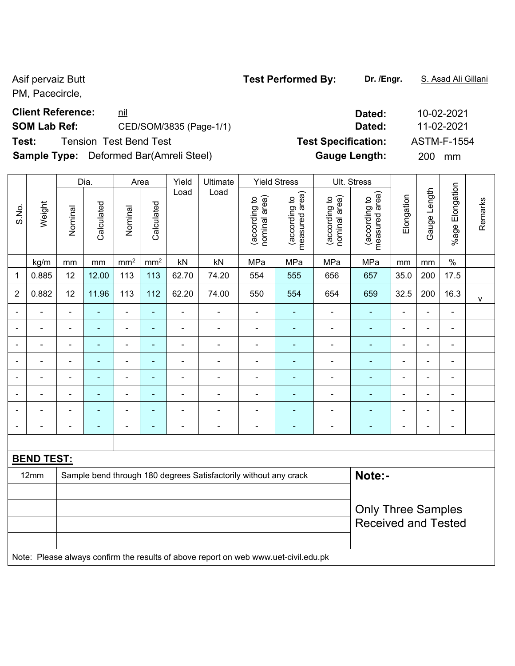PM, Pacecircle,

# **Client Reference:**  $\frac{nil}{!}$  10-02-2021

# **SOM Lab Ref:** CED/SOM/3835 (Page-1/1) **Dated:** 11-02-2021

**Test:** Tension Test Bend Test **Test Specification:** ASTM-F-1554

**Sample Type:** Deformed Bar(Amreli Steel) **Gauge Length:** 200 mm

|                |                                                                                     |                           | Dia.       |                 | Area            | Yield          | Ultimate                                                         |                                | <b>Yield Stress</b>             |                                | Ult. Stress                                 |                |                |                 |              |
|----------------|-------------------------------------------------------------------------------------|---------------------------|------------|-----------------|-----------------|----------------|------------------------------------------------------------------|--------------------------------|---------------------------------|--------------------------------|---------------------------------------------|----------------|----------------|-----------------|--------------|
| S.No.          | Weight                                                                              | Nominal                   | Calculated | Nominal         | Calculated      | Load           | Load                                                             | nominal area)<br>(according to | measured area)<br>(according to | nominal area)<br>(according to | (according to<br>neasured area)<br>measured | Elongation     | Gauge Length   | %age Elongation | Remarks      |
|                | kg/m                                                                                | mm                        | mm         | mm <sup>2</sup> | mm <sup>2</sup> | kN             | kN                                                               | MPa                            | MPa                             | MPa                            | MPa                                         | mm             | mm             | $\%$            |              |
| 1              | 0.885                                                                               | 12                        | 12.00      | 113             | 113             | 62.70          | 74.20                                                            | 554                            | 555                             | 656                            | 657                                         | 35.0           | 200            | 17.5            |              |
| 2              | 0.882                                                                               | 12                        | 11.96      | 113             | 112             | 62.20          | 74.00                                                            | 550                            | 554                             | 654                            | 659                                         | 32.5           | 200            | 16.3            | $\mathsf{V}$ |
|                |                                                                                     | $\blacksquare$            | ä,         | $\blacksquare$  | ä,              |                |                                                                  | $\blacksquare$                 |                                 | $\blacksquare$                 | ÷,                                          | $\blacksquare$ | $\blacksquare$ | ÷,              |              |
|                |                                                                                     | $\blacksquare$            | ä,         | ÷,              | ÷               | $\blacksquare$ | ä,                                                               | $\blacksquare$                 | $\blacksquare$                  | $\blacksquare$                 | ÷                                           | $\blacksquare$ | $\blacksquare$ | ÷,              |              |
| $\blacksquare$ |                                                                                     | $\overline{\phantom{a}}$  | ä,         | ÷,              | $\blacksquare$  | $\blacksquare$ | $\blacksquare$                                                   | $\blacksquare$                 | $\blacksquare$                  | $\blacksquare$                 | ä,                                          | $\blacksquare$ | $\blacksquare$ | ÷,              |              |
|                | ۰                                                                                   | $\blacksquare$            | ä,         | ÷,              | ÷,              | $\blacksquare$ | ä,                                                               | $\blacksquare$                 | $\blacksquare$                  | $\blacksquare$                 | ä,                                          | $\blacksquare$ | $\blacksquare$ | ÷,              |              |
| ۰              | $\blacksquare$                                                                      | $\blacksquare$            | ۰          | ۰               | $\blacksquare$  | $\blacksquare$ | $\blacksquare$                                                   | $\blacksquare$                 | $\blacksquare$                  | $\overline{\phantom{a}}$       | $\blacksquare$                              | $\blacksquare$ | $\blacksquare$ | ÷,              |              |
|                | $\blacksquare$                                                                      | $\blacksquare$            | ÷,         | $\blacksquare$  | $\blacksquare$  | $\blacksquare$ | $\blacksquare$                                                   | $\blacksquare$                 | ÷                               | $\blacksquare$                 | $\blacksquare$                              | $\blacksquare$ | $\blacksquare$ | ÷,              |              |
|                |                                                                                     | $\overline{\phantom{a}}$  | ÷          | $\blacksquare$  | $\blacksquare$  | $\blacksquare$ | $\blacksquare$                                                   | $\blacksquare$                 | $\blacksquare$                  | $\blacksquare$                 | $\blacksquare$                              | $\blacksquare$ | $\blacksquare$ | $\blacksquare$  |              |
|                | $\blacksquare$                                                                      | $\blacksquare$            | ÷          | $\blacksquare$  | $\blacksquare$  | $\blacksquare$ | $\blacksquare$                                                   | $\blacksquare$                 | $\blacksquare$                  | $\blacksquare$                 | $\blacksquare$                              | $\blacksquare$ | $\blacksquare$ | $\blacksquare$  |              |
|                |                                                                                     |                           |            |                 |                 |                |                                                                  |                                |                                 |                                |                                             |                |                |                 |              |
|                | <b>BEND TEST:</b>                                                                   |                           |            |                 |                 |                |                                                                  |                                |                                 |                                |                                             |                |                |                 |              |
|                | 12mm                                                                                |                           |            |                 |                 |                | Sample bend through 180 degrees Satisfactorily without any crack |                                |                                 |                                | Note:-                                      |                |                |                 |              |
|                |                                                                                     |                           |            |                 |                 |                |                                                                  |                                |                                 |                                |                                             |                |                |                 |              |
|                |                                                                                     | <b>Only Three Samples</b> |            |                 |                 |                |                                                                  |                                |                                 |                                |                                             |                |                |                 |              |
|                |                                                                                     |                           |            |                 |                 |                |                                                                  |                                |                                 |                                | <b>Received and Tested</b>                  |                |                |                 |              |
|                |                                                                                     |                           |            |                 |                 |                |                                                                  |                                |                                 |                                |                                             |                |                |                 |              |
|                | Note: Please always confirm the results of above report on web www.uet-civil.edu.pk |                           |            |                 |                 |                |                                                                  |                                |                                 |                                |                                             |                |                |                 |              |

Asif pervaiz Butt **Test Performed By:** Dr. /Engr. **S. Asad Ali Gillani** Asif pervaiz Butt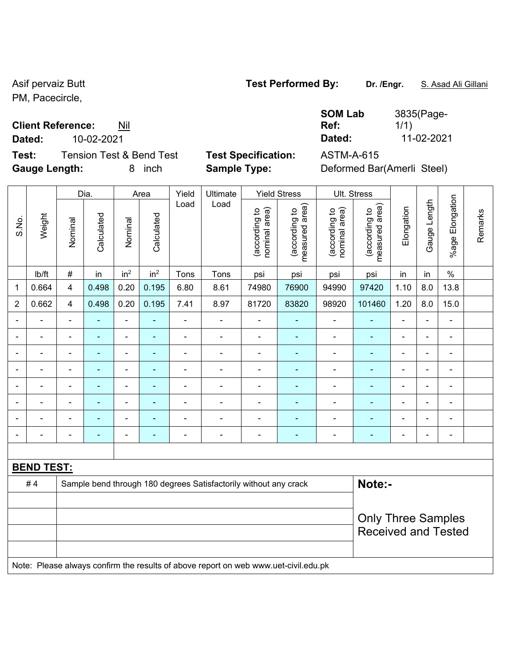PM, Pacecircle,

### **Client Reference:** Nil

**Dated:** 10-02-2021 **Dated:** 11-02-2021

**Test:** Tension Test & Bend Test **Test Specification:** ASTM-A-615 **Gauge Length:** 8 inch **Sample Type:** Deformed Bar(Amerli Steel)

Dia. | Area | Yield | Ultimate | Yield Stress | Ult. Stress

| <b>SOM Lab</b> |
|----------------|
| Ref:           |
|                |

1/1)

3835(Page-

|                | Dia.                                                                                |                | Area           |                              | Yield           | Ultimate       |                                                                  | Yield Stress                   |                                 | UII. Stress                    |                                             |                |                |                          |         |
|----------------|-------------------------------------------------------------------------------------|----------------|----------------|------------------------------|-----------------|----------------|------------------------------------------------------------------|--------------------------------|---------------------------------|--------------------------------|---------------------------------------------|----------------|----------------|--------------------------|---------|
| S.No.          | Weight                                                                              | Nominal        | Calculated     | Nominal                      | Calculated      | Load           | Load                                                             | (according to<br>nominal area) | (according to<br>measured area) | nominal area)<br>(according to | (according to<br>neasured area)<br>measured | Elongation     | Gauge Length   | Elongation<br>%age       | Remarks |
|                | lb/ft                                                                               | $\#$           | in             | in <sup>2</sup>              | in <sup>2</sup> | Tons           | Tons                                                             | psi                            | psi                             | psi                            | psi                                         | in             | in             | $\%$                     |         |
| 1              | 0.664                                                                               | 4              | 0.498          | 0.20                         | 0.195           | 6.80           | 8.61                                                             | 74980                          | 76900                           | 94990                          | 97420                                       | 1.10           | 8.0            | 13.8                     |         |
| $\overline{2}$ | 0.662                                                                               | 4              | 0.498          | 0.20                         | 0.195           | 7.41           | 8.97                                                             | 81720                          | 83820                           | 98920                          | 101460                                      | 1.20           | 8.0            | 15.0                     |         |
|                |                                                                                     | $\blacksquare$ | $\blacksquare$ | $\blacksquare$               | ÷               | ä,             | $\blacksquare$                                                   | $\blacksquare$                 | ٠                               | $\blacksquare$                 | $\blacksquare$                              | $\blacksquare$ | ۰              | $\blacksquare$           |         |
|                |                                                                                     |                | $\blacksquare$ | ۰                            |                 |                | $\blacksquare$                                                   | $\blacksquare$                 |                                 | $\overline{\phantom{0}}$       | $\blacksquare$                              |                |                | $\overline{\phantom{0}}$ |         |
| $\blacksquare$ |                                                                                     | $\blacksquare$ | $\blacksquare$ | $\blacksquare$               |                 | $\blacksquare$ | $\blacksquare$                                                   | $\blacksquare$                 | $\blacksquare$                  | $\overline{\phantom{a}}$       | $\blacksquare$                              | $\blacksquare$ | ÷              | $\blacksquare$           |         |
| $\blacksquare$ |                                                                                     | $\blacksquare$ | $\blacksquare$ | $\qquad \qquad \blacksquare$ | ٠               | $\blacksquare$ | $\blacksquare$                                                   | $\blacksquare$                 | ٠                               | $\blacksquare$                 | $\blacksquare$                              | $\blacksquare$ | ۰              | $\blacksquare$           |         |
|                |                                                                                     | $\blacksquare$ | $\blacksquare$ | $\overline{\phantom{a}}$     |                 | $\blacksquare$ | $\overline{\phantom{0}}$                                         | $\blacksquare$                 | ۰                               | $\overline{\phantom{0}}$       | $\blacksquare$                              | ۰              | ÷              | $\blacksquare$           |         |
| $\blacksquare$ |                                                                                     | $\blacksquare$ | $\blacksquare$ | $\frac{1}{2}$                | $\blacksquare$  | ä,             | $\blacksquare$                                                   | $\blacksquare$                 | $\blacksquare$                  | $\blacksquare$                 | $\blacksquare$                              | $\blacksquare$ | $\blacksquare$ | $\blacksquare$           |         |
|                |                                                                                     |                |                | ÷                            |                 |                |                                                                  | Ē,                             |                                 |                                | ٠                                           |                |                | $\blacksquare$           |         |
|                |                                                                                     |                |                | $\blacksquare$               |                 | $\blacksquare$ | $\blacksquare$                                                   | $\blacksquare$                 | ۰                               | $\blacksquare$                 | L.                                          | $\blacksquare$ |                | $\blacksquare$           |         |
|                |                                                                                     |                |                |                              |                 |                |                                                                  |                                |                                 |                                |                                             |                |                |                          |         |
|                | <b>BEND TEST:</b>                                                                   |                |                |                              |                 |                |                                                                  |                                |                                 |                                |                                             |                |                |                          |         |
|                | #4                                                                                  |                |                |                              |                 |                | Sample bend through 180 degrees Satisfactorily without any crack |                                |                                 |                                | Note:-                                      |                |                |                          |         |
|                |                                                                                     |                |                |                              |                 |                |                                                                  |                                |                                 |                                |                                             |                |                |                          |         |
|                |                                                                                     |                |                |                              |                 |                |                                                                  |                                |                                 |                                | <b>Only Three Samples</b>                   |                |                |                          |         |
|                |                                                                                     |                |                |                              |                 |                |                                                                  |                                |                                 |                                | <b>Received and Tested</b>                  |                |                |                          |         |
|                |                                                                                     |                |                |                              |                 |                |                                                                  |                                |                                 |                                |                                             |                |                |                          |         |
|                | Note: Please always confirm the results of above report on web www.uet-civil.edu.pk |                |                |                              |                 |                |                                                                  |                                |                                 |                                |                                             |                |                |                          |         |
|                |                                                                                     |                |                |                              |                 |                |                                                                  |                                |                                 |                                |                                             |                |                |                          |         |

# Asif pervaiz Butt **Test Performed By:** Dr. /Engr. **S. Asad Ali Gillani** Asif pervaiz Butt

 $\epsilon$  |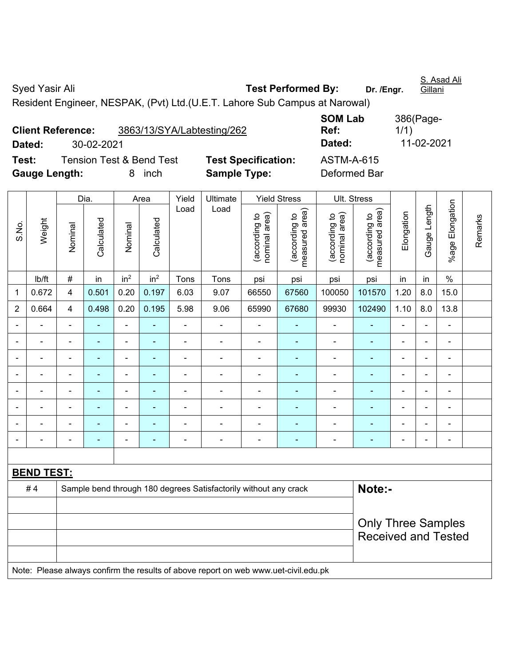| Syed Yasir Ali                                                              | <b>Test Performed By:</b> | Dr. /Engr. | S. Asad Ali<br><b>Gillani</b> |
|-----------------------------------------------------------------------------|---------------------------|------------|-------------------------------|
| Resident Engineer, NESPAK, (Pvt) Ltd. (U.E.T. Lahore Sub Campus at Narowal) |                           |            |                               |

**Client Reference:** 3863/13/SYA/Labtesting/262 **Dated:** 30-02-2021 **Dated:** 11-02-2021 **Test:** Tension Test & Bend Test **Test Specification:** ASTM-A-615 **Gauge Length:** 8 inch **Sample Type:** Deformed Bar

**SOM Lab Ref:**  386(Page-1/1)

|                |                                                                                     |                           | Dia.           |                          | Area            | Yield          | Ultimate                                                         |                                | <b>Yield Stress</b>             |                                | Ult. Stress                       |                |                |                 |         |
|----------------|-------------------------------------------------------------------------------------|---------------------------|----------------|--------------------------|-----------------|----------------|------------------------------------------------------------------|--------------------------------|---------------------------------|--------------------------------|-----------------------------------|----------------|----------------|-----------------|---------|
| S.No.          | Weight                                                                              | Nominal                   | Calculated     | Nominal                  | Calculated      | Load           | Load                                                             | nominal area)<br>(according to | measured area)<br>(according to | nominal area)<br>(according to | (according to  <br>measured area) | Elongation     | Gauge Length   | %age Elongation | Remarks |
|                | Ib/ft                                                                               | $\#$                      | in             | in <sup>2</sup>          | in <sup>2</sup> | Tons           | Tons                                                             | psi                            | psi                             | psi                            | psi                               | in             | in             | $\%$            |         |
| $\mathbf{1}$   | 0.672                                                                               | $\overline{4}$            | 0.501          | 0.20                     | 0.197           | 6.03           | 9.07                                                             | 66550                          | 67560                           | 100050                         | 101570                            | 1.20           | 8.0            | 15.0            |         |
| $\overline{2}$ | 0.664                                                                               | 4                         | 0.498          | 0.20                     | 0.195           | 5.98           | 9.06                                                             | 65990                          | 67680                           | 99930                          | 102490                            | 1.10           | 8.0            | 13.8            |         |
|                |                                                                                     |                           |                |                          |                 |                | $\overline{a}$                                                   |                                |                                 |                                |                                   | L,             |                |                 |         |
|                |                                                                                     | L,                        |                | $\blacksquare$           |                 |                | ÷                                                                | $\blacksquare$                 |                                 | $\blacksquare$                 |                                   | Ē,             |                | $\blacksquare$  |         |
|                |                                                                                     | $\blacksquare$            |                |                          | ٠               |                | ÷                                                                | $\blacksquare$                 |                                 |                                | $\overline{\phantom{0}}$          | $\overline{a}$ |                | $\blacksquare$  |         |
| $\blacksquare$ | $\blacksquare$                                                                      | L,                        | $\blacksquare$ | $\overline{\phantom{a}}$ | $\blacksquare$  | $\blacksquare$ | ÷                                                                | $\blacksquare$                 | $\blacksquare$                  | $\blacksquare$                 | $\blacksquare$                    | ä,             | $\blacksquare$ | $\blacksquare$  |         |
|                | $\blacksquare$                                                                      | $\blacksquare$            | $\blacksquare$ | $\overline{\phantom{a}}$ | $\blacksquare$  | $\blacksquare$ | $\blacksquare$                                                   | $\blacksquare$                 | ٠                               | $\blacksquare$                 | $\blacksquare$                    | $\blacksquare$ |                | $\blacksquare$  |         |
|                | ä,                                                                                  | ä,                        | $\blacksquare$ | $\overline{\phantom{a}}$ | $\blacksquare$  | $\blacksquare$ | ÷                                                                | ä,                             |                                 | $\blacksquare$                 | $\blacksquare$                    | L,             | $\blacksquare$ | $\blacksquare$  |         |
|                | $\blacksquare$                                                                      | ÷,                        | $\blacksquare$ | $\blacksquare$           | ٠               | $\blacksquare$ | ä,                                                               | $\blacksquare$                 | ٠                               | ä,                             | $\blacksquare$                    | ÷              |                | $\blacksquare$  |         |
|                |                                                                                     | Ē,                        |                |                          | $\blacksquare$  | $\blacksquare$ | ÷                                                                | $\blacksquare$                 |                                 | $\blacksquare$                 | $\blacksquare$                    |                |                | $\blacksquare$  |         |
|                |                                                                                     |                           |                |                          |                 |                |                                                                  |                                |                                 |                                |                                   |                |                |                 |         |
|                | <b>BEND TEST:</b>                                                                   |                           |                |                          |                 |                |                                                                  |                                |                                 |                                |                                   |                |                |                 |         |
|                | #4                                                                                  |                           |                |                          |                 |                | Sample bend through 180 degrees Satisfactorily without any crack |                                |                                 |                                | Note:-                            |                |                |                 |         |
|                |                                                                                     |                           |                |                          |                 |                |                                                                  |                                |                                 |                                |                                   |                |                |                 |         |
|                |                                                                                     | <b>Only Three Samples</b> |                |                          |                 |                |                                                                  |                                |                                 |                                |                                   |                |                |                 |         |
|                |                                                                                     |                           |                |                          |                 |                |                                                                  |                                | <b>Received and Tested</b>      |                                |                                   |                |                |                 |         |
|                |                                                                                     |                           |                |                          |                 |                |                                                                  |                                |                                 |                                |                                   |                |                |                 |         |
|                | Note: Please always confirm the results of above report on web www.uet-civil.edu.pk |                           |                |                          |                 |                |                                                                  |                                |                                 |                                |                                   |                |                |                 |         |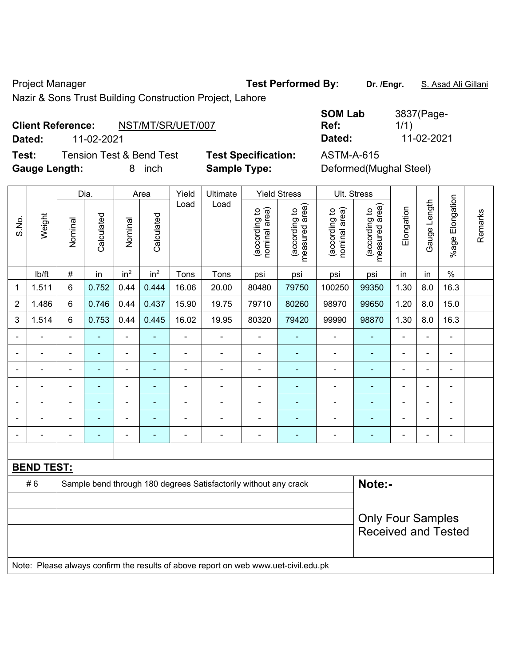Project Manager **Test Performed By:** Dr. /Engr. **S. Asad Ali Gillani** Ali Gillani

Nazir & Sons Trust Building Construction Project, Lahore

### **Client Reference:** NST/MT/SR/UET/007

**Dated:** 11-02-2021 **Dated:** 11-02-2021

**Test:** Tension Test & Bend Test **Test Specification:** ASTM-A-615 Gauge Length: **8** inch **Sample Type:** 

| SOM Lab | 3837(Page- |
|---------|------------|
| Ref:    | 1/1)       |
| Dated:  | 11-02-2021 |

| Deformed(Mughal Steel) |  |
|------------------------|--|
|------------------------|--|

|                |                                                                                     |                | Dia.           |                 | Area            | Yield          | Ultimate                                                         |                                | <b>Yield Stress</b>             |                                | Ult. Stress                     |                |                          |                          |         |
|----------------|-------------------------------------------------------------------------------------|----------------|----------------|-----------------|-----------------|----------------|------------------------------------------------------------------|--------------------------------|---------------------------------|--------------------------------|---------------------------------|----------------|--------------------------|--------------------------|---------|
| S.No.          | Weight                                                                              | Nominal        | Calculated     | Nominal         | Calculated      | Load           | Load                                                             | nominal area)<br>(according to | (according to<br>measured area) | nominal area)<br>(according to | (according to<br>measured area) | Elongation     | Gauge Length             | Elongation<br>$%$ age    | Remarks |
|                | lb/ft                                                                               | $\#$           | in             | in <sup>2</sup> | in <sup>2</sup> | Tons           | Tons                                                             | psi                            | psi                             | psi                            | psi                             | in             | in                       | $\%$                     |         |
| 1              | 1.511                                                                               | 6              | 0.752          | 0.44            | 0.444           | 16.06          | 20.00                                                            | 80480                          | 79750                           | 100250                         | 99350                           | 1.30           | 8.0                      | 16.3                     |         |
| $\overline{2}$ | 1.486                                                                               | 6              | 0.746          | 0.44            | 0.437           | 15.90          | 19.75                                                            | 79710                          | 80260                           | 98970                          | 99650                           | 1.20           | 8.0                      | 15.0                     |         |
| 3              | 1.514                                                                               | 6              | 0.753          | 0.44            | 0.445           | 16.02          | 19.95                                                            | 80320                          | 79420                           | 99990                          | 98870                           | 1.30           | 8.0                      | 16.3                     |         |
|                | ä,                                                                                  | $\blacksquare$ | $\blacksquare$ | ÷,              | $\blacksquare$  | $\blacksquare$ | ÷                                                                | $\blacksquare$                 | $\blacksquare$                  | $\blacksquare$                 | $\blacksquare$                  | $\blacksquare$ | $\blacksquare$           | $\overline{\phantom{a}}$ |         |
|                | ÷                                                                                   | $\blacksquare$ | ÷,             | $\blacksquare$  | $\blacksquare$  | $\blacksquare$ | ÷                                                                | $\blacksquare$                 | $\blacksquare$                  | $\blacksquare$                 | $\blacksquare$                  | $\blacksquare$ | $\blacksquare$           | $\blacksquare$           |         |
|                | ä,                                                                                  | $\blacksquare$ | ÷,             | $\blacksquare$  | $\blacksquare$  | $\blacksquare$ | ÷                                                                | ä,                             | $\blacksquare$                  | $\blacksquare$                 | $\blacksquare$                  | ä,             | $\blacksquare$           | $\blacksquare$           |         |
|                | -                                                                                   |                | ÷,             | $\blacksquare$  | $\blacksquare$  | ä,             | $\blacksquare$                                                   | $\blacksquare$                 | $\blacksquare$                  | $\blacksquare$                 | $\blacksquare$                  | $\blacksquare$ | $\blacksquare$           | $\blacksquare$           |         |
|                |                                                                                     |                |                | ۳               |                 | $\blacksquare$ |                                                                  |                                |                                 | $\overline{a}$                 | $\blacksquare$                  |                |                          |                          |         |
|                |                                                                                     |                |                | ä,              |                 | $\blacksquare$ | $\blacksquare$                                                   | ٠                              |                                 | Ē,                             |                                 |                |                          | $\overline{a}$           |         |
| ÷              | -                                                                                   | $\blacksquare$ | ä,             | $\blacksquare$  | $\blacksquare$  | -              | ÷                                                                | $\overline{\phantom{a}}$       | $\overline{\phantom{a}}$        | ÷                              | ÷                               | ÷              | $\overline{\phantom{a}}$ | $\blacksquare$           |         |
|                |                                                                                     |                |                |                 |                 |                |                                                                  |                                |                                 |                                |                                 |                |                          |                          |         |
|                | <b>BEND TEST:</b>                                                                   |                |                |                 |                 |                |                                                                  |                                |                                 |                                |                                 |                |                          |                          |         |
|                | #6                                                                                  |                |                |                 |                 |                | Sample bend through 180 degrees Satisfactorily without any crack |                                |                                 |                                | Note:-                          |                |                          |                          |         |
|                |                                                                                     |                |                |                 |                 |                |                                                                  |                                |                                 |                                |                                 |                |                          |                          |         |
|                |                                                                                     |                |                |                 |                 |                |                                                                  |                                |                                 |                                | <b>Only Four Samples</b>        |                |                          |                          |         |
|                |                                                                                     |                |                |                 |                 |                |                                                                  |                                |                                 |                                | <b>Received and Tested</b>      |                |                          |                          |         |
|                |                                                                                     |                |                |                 |                 |                |                                                                  |                                |                                 |                                |                                 |                |                          |                          |         |
|                | Note: Please always confirm the results of above report on web www.uet-civil.edu.pk |                |                |                 |                 |                |                                                                  |                                |                                 |                                |                                 |                |                          |                          |         |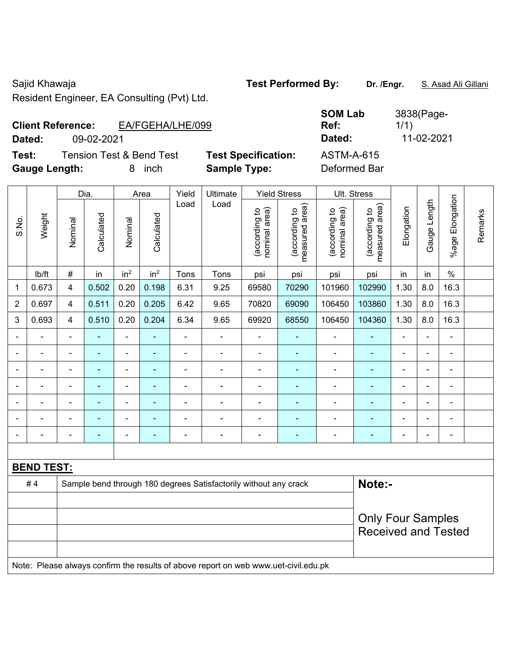Sajid Khawaja **Test Performed By:** Dr. /Engr. **S. Asad Ali Gillani** Sajid Khawaja

Resident Engineer, EA Consulting (Pvt) Ltd.

| <b>Client Reference:</b> |            | EA/FGEHA/LHE/099 |
|--------------------------|------------|------------------|
| Dated:                   | 09-02-2021 |                  |

**Test:** Tension Test & Bend Test **Test Specification:** ASTM-A-615 **Gauge Length:** 8 inch **Sample Type:** Deformed Bar

**SOM Lab Ref:**  3838(Page-1/1) **Dated:** 09-02-2021 **Dated:** 11-02-2021

|                          |                                                                                     |                | Dia.                                                                       |                          | Area            | Yield          | Ultimate       |                                | <b>Yield Stress</b>             |                                | Ult. Stress                                            |                |                |                       |         |
|--------------------------|-------------------------------------------------------------------------------------|----------------|----------------------------------------------------------------------------|--------------------------|-----------------|----------------|----------------|--------------------------------|---------------------------------|--------------------------------|--------------------------------------------------------|----------------|----------------|-----------------------|---------|
| S.No.                    | Weight                                                                              | Nominal        | Calculated                                                                 | Nominal                  | Calculated      | Load           | Load           | (according to<br>nominal area) | measured area)<br>(according to | nominal area)<br>(according to | (according to<br>measured area)                        | Elongation     | Gauge Length   | Elongation<br>$%$ age | Remarks |
|                          | lb/ft                                                                               | #              | in                                                                         | in <sup>2</sup>          | in <sup>2</sup> | Tons           | Tons           | psi                            | psi                             | psi                            | psi                                                    | in             | in             | $\%$                  |         |
| 1                        | 0.673                                                                               | 4              | 0.502                                                                      | 0.20                     | 0.198           | 6.31           | 9.25           | 69580                          | 70290                           | 101960                         | 102990                                                 | 1.30           | 8.0            | 16.3                  |         |
| $\overline{2}$           | 0.697                                                                               | 4              | 0.511                                                                      | 0.20                     | 0.205           | 6.42           | 9.65           | 70820                          | 69090                           | 106450                         | 103860                                                 | 1.30           | 8.0            | 16.3                  |         |
| 3                        | 0.693                                                                               | 4              | 0.510                                                                      | 0.20                     | 0.204           | 6.34           | 9.65           | 69920                          | 68550                           | 106450                         | 104360                                                 | 1.30           | 8.0            | 16.3                  |         |
| $\overline{\phantom{a}}$ | $\blacksquare$                                                                      | $\blacksquare$ |                                                                            | ÷                        | Ξ               | $\blacksquare$ | $\blacksquare$ | $\blacksquare$                 | ÷                               | $\overline{\phantom{a}}$       | ÷                                                      | $\blacksquare$ | $\blacksquare$ | $\blacksquare$        |         |
| Ē,                       | $\blacksquare$                                                                      | $\blacksquare$ | $\blacksquare$                                                             | ÷                        | $\blacksquare$  | $\blacksquare$ | ÷              | ä,                             | $\blacksquare$                  | $\blacksquare$                 | $\blacksquare$                                         | $\blacksquare$ | $\blacksquare$ | $\blacksquare$        |         |
|                          | $\blacksquare$                                                                      | $\blacksquare$ | $\blacksquare$                                                             | ÷                        | $\blacksquare$  | $\blacksquare$ | ÷              | $\blacksquare$                 | $\blacksquare$                  | $\blacksquare$                 | $\blacksquare$                                         | $\blacksquare$ | $\blacksquare$ | $\overline{a}$        |         |
| Ē,                       | $\blacksquare$                                                                      | ä,             | ä,                                                                         | ÷                        | ۰               | $\blacksquare$ | ÷              | $\blacksquare$                 | $\blacksquare$                  | $\blacksquare$                 | $\blacksquare$                                         | $\blacksquare$ | ä,             | ÷,                    |         |
|                          |                                                                                     |                |                                                                            | $\blacksquare$           |                 | $\blacksquare$ | ÷              | $\blacksquare$                 |                                 | $\blacksquare$                 | ä,                                                     |                |                | $\blacksquare$        |         |
|                          |                                                                                     |                |                                                                            |                          |                 |                |                |                                |                                 |                                |                                                        |                |                |                       |         |
|                          |                                                                                     |                |                                                                            | $\overline{\phantom{0}}$ |                 |                | Ē.             | $\blacksquare$                 |                                 | ٠                              | ÷                                                      | $\blacksquare$ | $\blacksquare$ | $\blacksquare$        |         |
|                          |                                                                                     |                |                                                                            |                          |                 |                |                |                                |                                 |                                |                                                        |                |                |                       |         |
|                          | <b>BEND TEST:</b>                                                                   |                |                                                                            |                          |                 |                |                |                                |                                 |                                |                                                        |                |                |                       |         |
|                          | #4                                                                                  |                | Note:-<br>Sample bend through 180 degrees Satisfactorily without any crack |                          |                 |                |                |                                |                                 |                                |                                                        |                |                |                       |         |
|                          |                                                                                     |                |                                                                            |                          |                 |                |                |                                |                                 |                                |                                                        |                |                |                       |         |
|                          |                                                                                     |                |                                                                            |                          |                 |                |                |                                |                                 |                                | <b>Only Four Samples</b><br><b>Received and Tested</b> |                |                |                       |         |
|                          | Note: Please always confirm the results of above report on web www.uet-civil.edu.pk |                |                                                                            |                          |                 |                |                |                                |                                 |                                |                                                        |                |                |                       |         |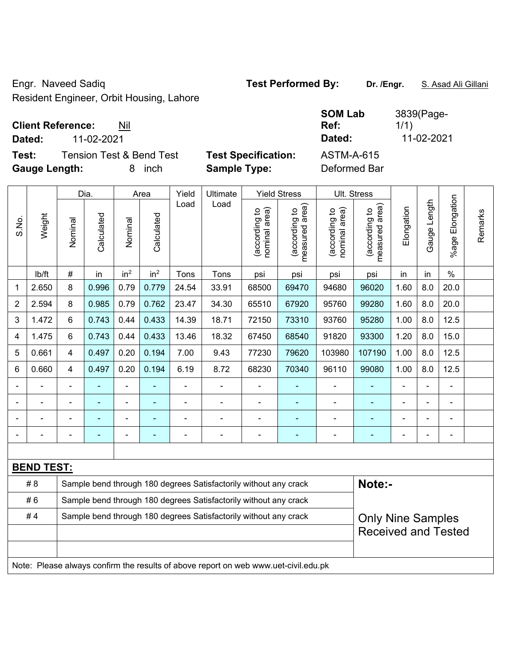Engr. Naveed Sadiq **Test Performed By: Dr. /Engr.** S. Asad Ali Gillani Resident Engineer, Orbit Housing, Lahore

### **Client Reference:** Nil

**Dated:** 11-02-2021 **Dated:** 11-02-2021

**Test:** Tension Test & Bend Test **Test Specification: Gauge Length:** 8 inch **Sample Type:** Deformed Bar

| Dated:       |  |
|--------------|--|
| ASTM-A-615   |  |
| Doformod Dor |  |

| <b>SOM Lab</b> | 3839(Page- |
|----------------|------------|
| Ref:           | 1/1)       |
| Dated:         | 11-02-2021 |
|                |            |

| S.No.                                                                               | Weight            | Dia.                                                             |                                                                  | Area            |                 | Yield          | Ultimate       | <b>Yield Stress</b>            |                                 | Ult. Stress                    |                                 |                |                |                       |         |
|-------------------------------------------------------------------------------------|-------------------|------------------------------------------------------------------|------------------------------------------------------------------|-----------------|-----------------|----------------|----------------|--------------------------------|---------------------------------|--------------------------------|---------------------------------|----------------|----------------|-----------------------|---------|
|                                                                                     |                   | Nominal                                                          | Calculated                                                       | Nominal         | Calculated      | Load           | Load           | nominal area)<br>(according to | (according to<br>measured area) | nominal area)<br>(according to | (according to<br>measured area) | Elongation     | Gauge Length   | Elongation<br>$%$ age | Remarks |
|                                                                                     | lb/ft             | #                                                                | in                                                               | in <sup>2</sup> | in <sup>2</sup> | Tons           | Tons           | psi                            | psi                             | psi                            | psi                             | in             | in             | $\frac{0}{0}$         |         |
| 1                                                                                   | 2.650             | 8                                                                | 0.996                                                            | 0.79            | 0.779           | 24.54          | 33.91          | 68500                          | 69470                           | 94680                          | 96020                           | 1.60           | 8.0            | 20.0                  |         |
| $\overline{2}$                                                                      | 2.594             | 8                                                                | 0.985                                                            | 0.79            | 0.762           | 23.47          | 34.30          | 65510                          | 67920                           | 95760                          | 99280                           | 1.60           | 8.0            | 20.0                  |         |
| 3                                                                                   | 1.472             | 6                                                                | 0.743                                                            | 0.44            | 0.433           | 14.39          | 18.71          | 72150                          | 73310                           | 93760                          | 95280                           | 1.00           | 8.0            | 12.5                  |         |
| 4                                                                                   | 1.475             | 6                                                                | 0.743                                                            | 0.44            | 0.433           | 13.46          | 18.32          | 67450                          | 68540                           | 91820                          | 93300                           | 1.20           | 8.0            | 15.0                  |         |
| 5                                                                                   | 0.661             | 4                                                                | 0.497                                                            | 0.20            | 0.194           | 7.00           | 9.43           | 77230                          | 79620                           | 103980                         | 107190                          | 1.00           | 8.0            | 12.5                  |         |
| 6                                                                                   | 0.660             | 4                                                                | 0.497                                                            | 0.20            | 0.194           | 6.19           | 8.72           | 68230                          | 70340                           | 96110                          | 99080                           | 1.00           | 8.0            | 12.5                  |         |
| $\blacksquare$                                                                      | ÷,                | $\blacksquare$                                                   |                                                                  | ÷               |                 | $\blacksquare$ | ÷,             | ä,                             | ÷                               | $\blacksquare$                 | ٠                               | ÷,             | $\blacksquare$ | $\blacksquare$        |         |
|                                                                                     | ä,                | $\blacksquare$                                                   | ä,                                                               | ÷               | ä,              | $\blacksquare$ | $\blacksquare$ | $\blacksquare$                 | ۰                               | $\blacksquare$                 | ٠                               | $\blacksquare$ | $\blacksquare$ | $\blacksquare$        |         |
|                                                                                     | ä,                | ÷,                                                               | ÷,                                                               | ÷               | ٠               | $\blacksquare$ | $\blacksquare$ | $\blacksquare$                 | ۰                               | $\blacksquare$                 | ÷                               | $\blacksquare$ |                | $\blacksquare$        |         |
|                                                                                     |                   | $\blacksquare$                                                   | $\overline{\phantom{0}}$                                         | ÷               |                 | ÷              | Ē,             | $\blacksquare$                 |                                 | ÷                              | ÷                               | ä,             |                | $\blacksquare$        |         |
|                                                                                     |                   |                                                                  |                                                                  |                 |                 |                |                |                                |                                 |                                |                                 |                |                |                       |         |
|                                                                                     | <b>BEND TEST:</b> |                                                                  |                                                                  |                 |                 |                |                |                                |                                 |                                |                                 |                |                |                       |         |
| Note:-<br>Sample bend through 180 degrees Satisfactorily without any crack<br># 8   |                   |                                                                  |                                                                  |                 |                 |                |                |                                |                                 |                                |                                 |                |                |                       |         |
|                                                                                     | #6                |                                                                  | Sample bend through 180 degrees Satisfactorily without any crack |                 |                 |                |                |                                |                                 |                                |                                 |                |                |                       |         |
| #4                                                                                  |                   | Sample bend through 180 degrees Satisfactorily without any crack |                                                                  |                 |                 |                |                |                                |                                 | <b>Only Nine Samples</b>       |                                 |                |                |                       |         |
|                                                                                     |                   |                                                                  |                                                                  |                 |                 |                |                |                                |                                 | <b>Received and Tested</b>     |                                 |                |                |                       |         |
|                                                                                     |                   |                                                                  |                                                                  |                 |                 |                |                |                                |                                 |                                |                                 |                |                |                       |         |
| Note: Please always confirm the results of above report on web www.uet-civil.edu.pk |                   |                                                                  |                                                                  |                 |                 |                |                |                                |                                 |                                |                                 |                |                |                       |         |